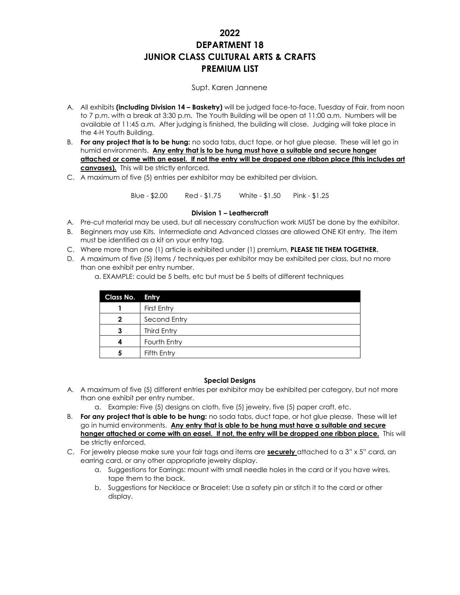# **2022 DEPARTMENT 18 JUNIOR CLASS CULTURAL ARTS & CRAFTS PREMIUM LIST**

#### Supt. Karen Jannene

- A. All exhibits **(including Division 14 – Basketry)** will be judged face-to-face, Tuesday of Fair, from noon to 7 p.m. with a break at 3:30 p.m. The Youth Building will be open at 11:00 a.m. Numbers will be available at 11:45 a.m. After judging is finished, the building will close. Judging will take place in the 4-H Youth Building.
- B. **For any project that is to be hung:** no soda tabs, duct tape, or hot glue please. These will let go in humid environments. **Any entry that is to be hung must have a suitable and secure hanger attached or come with an easel. If not the entry will be dropped one ribbon place (this includes art canvases).** This will be strictly enforced.
- C. A maximum of five (5) entries per exhibitor may be exhibited per division.

Blue - \$2.00 Red - \$1.75 White - \$1.50 Pink - \$1.25

#### **Division 1 – Leathercraft**

- A. Pre-cut material may be used, but all necessary construction work MUST be done by the exhibitor.
- B. Beginners may use Kits. Intermediate and Advanced classes are allowed ONE Kit entry. The item must be identified as a kit on your entry tag.
- C. Where more than one (1) article is exhibited under (1) premium, **PLEASE TIE THEM TOGETHER.**
- D. A maximum of five (5) items / techniques per exhibitor may be exhibited per class, but no more than one exhibit per entry number.

a. EXAMPLE: could be 5 belts, etc but must be 5 belts of different techniques

| Class No. Entry |              |
|-----------------|--------------|
|                 | First Entry  |
| $\mathbf 2$     | Second Entry |
|                 | Third Entry  |
|                 | Fourth Entry |
| 5               | Fifth Entry  |

#### **Special Designs**

- A. A maximum of five (5) different entries per exhibitor may be exhibited per category, but not more than one exhibit per entry number.
	- a. Example: Five (5) designs on cloth, five (5) jewelry, five (5) paper craft, etc.
- B. **For any project that is able to be hung:** no soda tabs, duct tape, or hot glue please. These will let go in humid environments. **Any entry that is able to be hung must have a suitable and secure hanger attached or come with an easel. If not, the entry will be dropped one ribbon place.** This will be strictly enforced.
- C. For jewelry please make sure your fair tags and items are **securely** attached to a 3" x 5" card, an earring card, or any other appropriate jewelry display.
	- a. Suggestions for Earrings: mount with small needle holes in the card or if you have wires, tape them to the back.
	- b. Suggestions for Necklace or Bracelet: Use a safety pin or stitch it to the card or other display.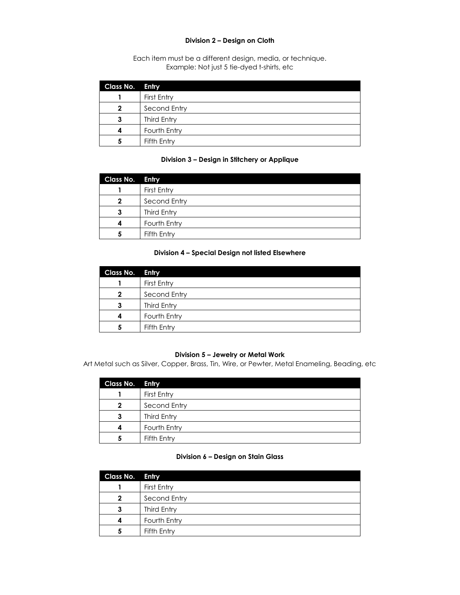#### **Division 2 – Design on Cloth**

Each item must be a different design, media, or technique. Example: Not just 5 tie-dyed t-shirts, etc

| Class No. Entry |              |
|-----------------|--------------|
|                 | First Entry  |
| 2               | Second Entry |
| 3               | Third Entry  |
|                 | Fourth Entry |
| פ               | Fifth Entry  |

### **Division 3 – Design in Stitchery or Applique**

| Class No. Entry |              |
|-----------------|--------------|
|                 | First Entry  |
| $\mathbf 2$     | Second Entry |
| З               | Third Entry  |
|                 | Fourth Entry |
|                 | Fifth Entry  |

## **Division 4 – Special Design not listed Elsewhere**

| <b>Class No. Entry</b> |              |
|------------------------|--------------|
|                        | First Entry  |
| 2                      | Second Entry |
| 3                      | Third Entry  |
|                        | Fourth Entry |
| 5                      | Fifth Entry  |

#### **Division 5 – Jewelry or Metal Work**

Art Metal such as Silver, Copper, Brass, Tin, Wire, or Pewter, Metal Enameling, Beading, etc

| Class No. Entry |              |
|-----------------|--------------|
|                 | First Entry  |
| 2               | Second Entry |
| 3               | Third Entry  |
|                 | Fourth Entry |
|                 | Fifth Entry  |

#### **Division 6 – Design on Stain Glass**

| Class No. Entry |              |
|-----------------|--------------|
|                 | First Entry  |
| 2               | Second Entry |
| З               | Third Entry  |
|                 | Fourth Entry |
| 5               | Fifth Entry  |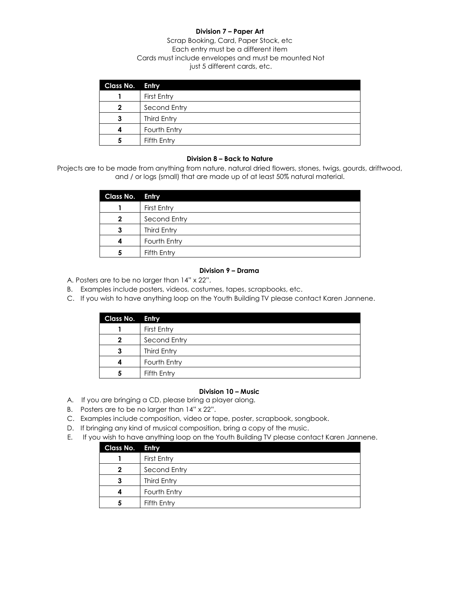# **Division 7 – Paper Art**

Scrap Booking, Card, Paper Stock, etc Each entry must be a different item Cards must include envelopes and must be mounted Not just 5 different cards, etc.

| Class No. Entry |              |
|-----------------|--------------|
|                 | First Entry  |
| 2               | Second Entry |
| 3               | Third Entry  |
|                 | Fourth Entry |
| 5               | Fifth Entry  |

#### **Division 8 – Back to Nature**

Projects are to be made from anything from nature, natural dried flowers, stones, twigs, gourds, driftwood, and / or logs (small) that are made up of at least 50% natural material.

| Class No. Entry |              |
|-----------------|--------------|
|                 | First Entry  |
| 2               | Second Entry |
| 3               | Third Entry  |
|                 | Fourth Entry |
| 5               | Fifth Entry  |

#### **Division 9 – Drama**

- A. Posters are to be no larger than 14" x 22".
- B. Examples include posters, videos, costumes, tapes, scrapbooks, etc.
- C. If you wish to have anything loop on the Youth Building TV please contact Karen Jannene.

| Class No. Entry |              |
|-----------------|--------------|
|                 | First Entry  |
| 2               | Second Entry |
| З               | Third Entry  |
|                 | Fourth Entry |
|                 | Fifth Entry  |

#### **Division 10 – Music**

- A. If you are bringing a CD, please bring a player along.
- B. Posters are to be no larger than 14" x 22".
- C. Examples include composition, video or tape, poster, scrapbook, songbook.
- D. If bringing any kind of musical composition, bring a copy of the music.
- E. If you wish to have anything loop on the Youth Building TV please contact Karen Jannene.

| Class No. Entry |              |
|-----------------|--------------|
|                 | First Entry  |
| 2               | Second Entry |
| 3               | Third Entry  |
|                 | Fourth Entry |
| 5               | Fifth Entry  |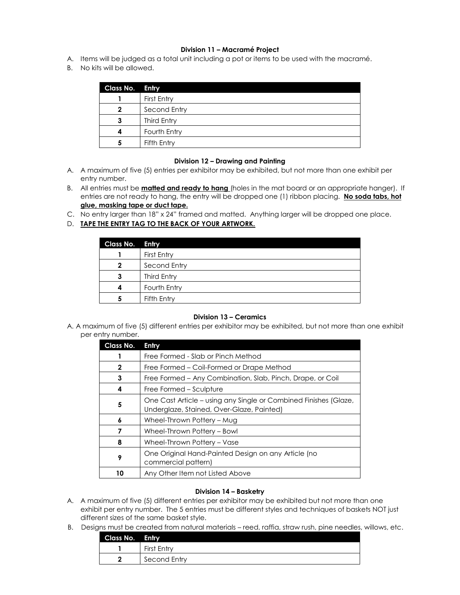#### **Division 11 – Macramé Project**

- A. Items will be judged as a total unit including a pot or items to be used with the macramé.
- B. No kits will be allowed.

| Class No. Entry |              |
|-----------------|--------------|
|                 | First Entry  |
| 2               | Second Entry |
| 3               | Third Entry  |
|                 | Fourth Entry |
|                 | Fifth Entry  |

#### **Division 12 – Drawing and Painting**

- A. A maximum of five (5) entries per exhibitor may be exhibited, but not more than one exhibit per entry number.
- B. All entries must be **matted and ready to hang** (holes in the mat board or an appropriate hanger). If entries are not ready to hang, the entry will be dropped one (1) ribbon placing. **No soda tabs, hot glue, masking tape or duct tape.**
- C. No entry larger than 18" x 24" framed and matted. Anything larger will be dropped one place.
- D. **TAPE THE ENTRY TAG TO THE BACK OF YOUR ARTWORK.**

| Class No.    | Entry        |
|--------------|--------------|
|              | First Entry  |
| $\mathbf{2}$ | Second Entry |
|              | Third Entry  |
|              | Fourth Entry |
| 5            | Fifth Entry  |

#### **Division 13 – Ceramics**

A. A maximum of five (5) different entries per exhibitor may be exhibited, but not more than one exhibit per entry number.

| Class No. | Entry                                                                                                         |
|-----------|---------------------------------------------------------------------------------------------------------------|
|           | Free Formed - Slab or Pinch Method                                                                            |
| 2         | Free Formed - Coil-Formed or Drape Method                                                                     |
| 3         | Free Formed – Any Combination, Slab, Pinch, Drape, or Coil                                                    |
| 4         | Free Formed – Sculpture                                                                                       |
| 5         | One Cast Article – using any Single or Combined Finishes (Glaze,<br>Underglaze, Stained, Over-Glaze, Painted) |
| 6         | Wheel-Thrown Pottery - Mug                                                                                    |
|           | Wheel-Thrown Pottery - Bowl                                                                                   |
| 8         | Wheel-Thrown Pottery - Vase                                                                                   |
| 9         | One Original Hand-Painted Design on any Article (no<br>commercial pattern)                                    |
| 10        | Any Other Item not Listed Above                                                                               |

#### **Division 14 – Basketry**

- A. A maximum of five (5) different entries per exhibitor may be exhibited but not more than one exhibit per entry number. The 5 entries must be different styles and techniques of baskets NOT just different sizes of the same basket style.
- B. Designs must be created from natural materials reed, raffia, straw rush, pine needles, willows, etc.

| Class No. | Entry        |
|-----------|--------------|
|           | First Entry  |
|           | Second Entry |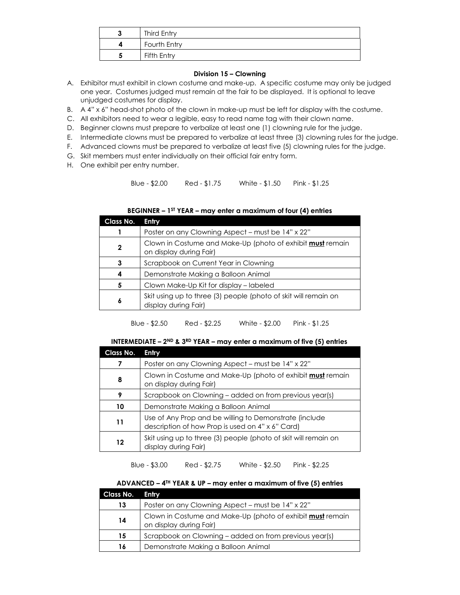| Third Entry  |
|--------------|
| Fourth Entry |
| Fifth Entry  |

#### **Division 15 – Clowning**

- A. Exhibitor must exhibit in clown costume and make-up. A specific costume may only be judged one year. Costumes judged must remain at the fair to be displayed. It is optional to leave unjudged costumes for display.
- B. A 4" x 6" head-shot photo of the clown in make-up must be left for display with the costume.
- C. All exhibitors need to wear a legible, easy to read name tag with their clown name.
- D. Beginner clowns must prepare to verbalize at least one (1) clowning rule for the judge.
- E. Intermediate clowns must be prepared to verbalize at least three (3) clowning rules for the judge.
- F. Advanced clowns must be prepared to verbalize at least five (5) clowning rules for the judge.
- G. Skit members must enter individually on their official fair entry form.
- H. One exhibit per entry number.

Blue - \$2.00 Red - \$1.75 White - \$1.50 Pink - \$1.25

| Class No. | Entry                                                                                        |
|-----------|----------------------------------------------------------------------------------------------|
|           | Poster on any Clowning Aspect - must be 14" x 22"                                            |
| 2         | Clown in Costume and Make-Up (photo of exhibit <b>must</b> remain<br>on display during Fair) |
| 3         | Scrapbook on Current Year in Clowning                                                        |
| 4         | Demonstrate Making a Balloon Animal                                                          |
| 5         | Clown Make-Up Kit for display – labeled                                                      |
| 6         | Skit using up to three (3) people (photo of skit will remain on<br>display during Fair)      |

#### **BEGINNER – 1 ST YEAR – may enter a maximum of four (4) entries**

Blue - \$2.50 Red - \$2.25 White - \$2.00 Pink - \$1.25

#### **INTERMEDIATE – 2ND & 3RD YEAR – may enter a maximum of five (5) entries**

| Class No. | Entry                                                                                                      |
|-----------|------------------------------------------------------------------------------------------------------------|
|           | Poster on any Clowning Aspect – must be 14" x 22"                                                          |
| 8         | Clown in Costume and Make-Up (photo of exhibit <b>must</b> remain<br>on display during Fair)               |
| 9         | Scrapbook on Clowning – added on from previous year(s)                                                     |
| 10        | Demonstrate Making a Balloon Animal                                                                        |
| 11        | Use of Any Prop and be willing to Demonstrate (include<br>description of how Prop is used on 4" x 6" Card) |
| 12        | Skit using up to three (3) people (photo of skit will remain on<br>display during Fair)                    |

#### Blue - \$3.00 Red - \$2.75 White - \$2.50 Pink - \$2.25

#### **ADVANCED – 4 TH YEAR & UP – may enter a maximum of five (5) entries**

| Class No. | <b>Entry</b>                                                                                 |
|-----------|----------------------------------------------------------------------------------------------|
| 13        | Poster on any Clowning Aspect – must be 14" x 22"                                            |
| 14        | Clown in Costume and Make-Up (photo of exhibit <b>must</b> remain<br>on display during Fair) |
| 15        | Scrapbook on Clowning – added on from previous year(s)                                       |
| 16        | Demonstrate Making a Balloon Animal                                                          |